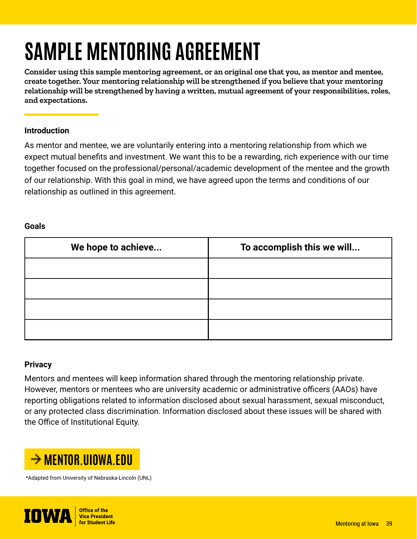# **SAMPLE MENTORING AGREEMENT**

**Consider using this sample mentoring agreement, or an original one that you, as mentor and mentee, create together. Your mentoring relationship will be strengthened if you believe that your mentoring relationship will be strengthened by having a written, mutual agreement of your responsibilities, roles, and expectations.**

# **Introduction**

As mentor and mentee, we are voluntarily entering into a mentoring relationship from which we expect mutual benefits and investment. We want this to be a rewarding, rich experience with our time together focused on the professional/personal/academic development of the mentee and the growth of our relationship. With this goal in mind, we have agreed upon the terms and conditions of our relationship as outlined in this agreement.

# **Goals**

| We hope to achieve | To accomplish this we will |  |  |
|--------------------|----------------------------|--|--|
|                    |                            |  |  |
|                    |                            |  |  |
|                    |                            |  |  |
|                    |                            |  |  |

# **Privacy**

Mentors and mentees will keep information shared through the mentoring relationship private. However, mentors or mentees who are university academic or administrative officers (AAOs) have reporting obligations related to information disclosed about sexual harassment, sexual misconduct, or any protected class discrimination. Information disclosed about these issues will be shared with the Office of Institutional Equity.



\*Adapted from University of Nebraska-Lincoln (UNL)